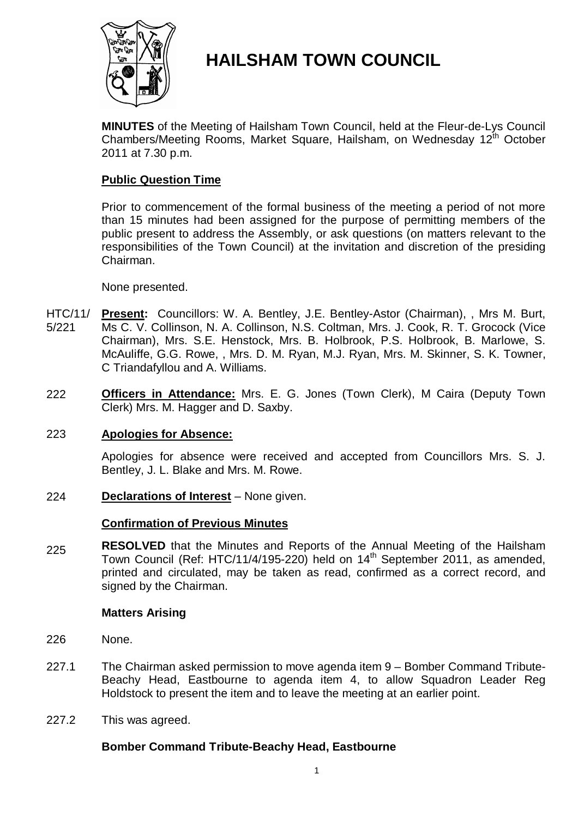

# **HAILSHAM TOWN COUNCIL**

**MINUTES** of the Meeting of Hailsham Town Council, held at the Fleur-de-Lys Council Chambers/Meeting Rooms, Market Square, Hailsham, on Wednesday 12<sup>th</sup> October 2011 at 7.30 p.m.

## **Public Question Time**

Prior to commencement of the formal business of the meeting a period of not more than 15 minutes had been assigned for the purpose of permitting members of the public present to address the Assembly, or ask questions (on matters relevant to the responsibilities of the Town Council) at the invitation and discretion of the presiding Chairman.

### None presented.

- HTC/11/ 5/221 **Present:** Councillors: W. A. Bentley, J.E. Bentley-Astor (Chairman), , Mrs M. Burt, Ms C. V. Collinson, N. A. Collinson, N.S. Coltman, Mrs. J. Cook, R. T. Grocock (Vice Chairman), Mrs. S.E. Henstock, Mrs. B. Holbrook, P.S. Holbrook, B. Marlowe, S. McAuliffe, G.G. Rowe, , Mrs. D. M. Ryan, M.J. Ryan, Mrs. M. Skinner, S. K. Towner, C Triandafyllou and A. Williams.
- 222 **Officers in Attendance:** Mrs. E. G. Jones (Town Clerk), M Caira (Deputy Town Clerk) Mrs. M. Hagger and D. Saxby.

### 223 **Apologies for Absence:**

Apologies for absence were received and accepted from Councillors Mrs. S. J. Bentley, J. L. Blake and Mrs. M. Rowe.

224 **Declarations of Interest** – None given.

### **Confirmation of Previous Minutes**

225 **RESOLVED** that the Minutes and Reports of the Annual Meeting of the Hailsham Town Council (Ref: HTC/11/4/195-220) held on 14<sup>th</sup> September 2011, as amended, printed and circulated, may be taken as read, confirmed as a correct record, and signed by the Chairman.

#### **Matters Arising**

- 226 None.
- 227.1 The Chairman asked permission to move agenda item 9 – Bomber Command Tribute-Beachy Head, Eastbourne to agenda item 4, to allow Squadron Leader Reg Holdstock to present the item and to leave the meeting at an earlier point.
- 227.2 This was agreed.

### **Bomber Command Tribute-Beachy Head, Eastbourne**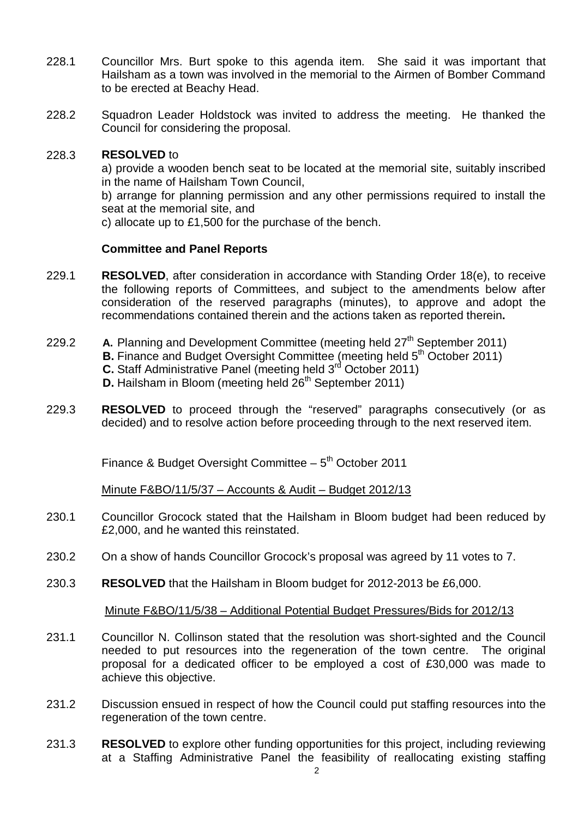- 228.1 Councillor Mrs. Burt spoke to this agenda item. She said it was important that Hailsham as a town was involved in the memorial to the Airmen of Bomber Command to be erected at Beachy Head.
- 228.2 Squadron Leader Holdstock was invited to address the meeting. He thanked the Council for considering the proposal.

#### 228.3 **RESOLVED** to

a) provide a wooden bench seat to be located at the memorial site, suitably inscribed in the name of Hailsham Town Council,

b) arrange for planning permission and any other permissions required to install the seat at the memorial site, and

c) allocate up to £1,500 for the purchase of the bench.

### **Committee and Panel Reports**

- 229.1 **RESOLVED**, after consideration in accordance with Standing Order 18(e), to receive the following reports of Committees, and subject to the amendments below after consideration of the reserved paragraphs (minutes), to approve and adopt the recommendations contained therein and the actions taken as reported therein**.**
- 229.2 **A.** Planning and Development Committee (meeting held 27<sup>th</sup> September 2011) **B.** Finance and Budget Oversight Committee (meeting held 5<sup>th</sup> October 2011) **C.** Staff Administrative Panel (meeting held 3<sup>rd</sup> October 2011) **D.** Hailsham in Bloom (meeting held  $26<sup>th</sup>$  September 2011)
- 229.3 **RESOLVED** to proceed through the "reserved" paragraphs consecutively (or as decided) and to resolve action before proceeding through to the next reserved item.

Finance & Budget Oversight Committee  $-5<sup>th</sup>$  October 2011

Minute F&BO/11/5/37 – Accounts & Audit – Budget 2012/13

- 230.1 Councillor Grocock stated that the Hailsham in Bloom budget had been reduced by £2,000, and he wanted this reinstated.
- 230.2 On a show of hands Councillor Grocock's proposal was agreed by 11 votes to 7.
- 230.3 **RESOLVED** that the Hailsham in Bloom budget for 2012-2013 be £6,000.

Minute F&BO/11/5/38 – Additional Potential Budget Pressures/Bids for 2012/13

- 231.1 Councillor N. Collinson stated that the resolution was short-sighted and the Council needed to put resources into the regeneration of the town centre. The original proposal for a dedicated officer to be employed a cost of £30,000 was made to achieve this objective.
- 231.2 Discussion ensued in respect of how the Council could put staffing resources into the regeneration of the town centre.
- 231.3 **RESOLVED** to explore other funding opportunities for this project, including reviewing at a Staffing Administrative Panel the feasibility of reallocating existing staffing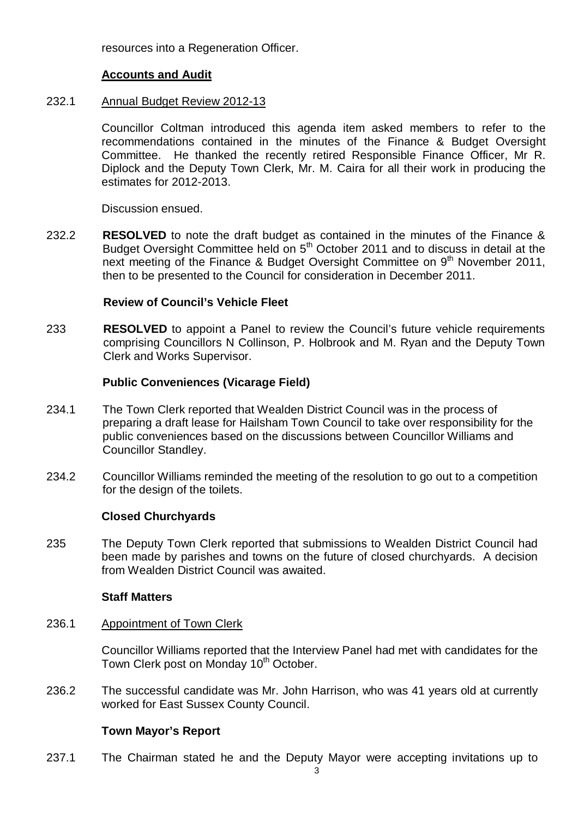resources into a Regeneration Officer.

### **Accounts and Audit**

#### 232.1 Annual Budget Review 2012-13

Councillor Coltman introduced this agenda item asked members to refer to the recommendations contained in the minutes of the Finance & Budget Oversight Committee. He thanked the recently retired Responsible Finance Officer, Mr R. Diplock and the Deputy Town Clerk, Mr. M. Caira for all their work in producing the estimates for 2012-2013.

Discussion ensued.

232.2 **RESOLVED** to note the draft budget as contained in the minutes of the Finance & Budget Oversight Committee held on 5<sup>th</sup> October 2011 and to discuss in detail at the next meeting of the Finance & Budget Oversight Committee on 9<sup>th</sup> November 2011, then to be presented to the Council for consideration in December 2011.

### **Review of Council's Vehicle Fleet**

233 **RESOLVED** to appoint a Panel to review the Council's future vehicle requirements comprising Councillors N Collinson, P. Holbrook and M. Ryan and the Deputy Town Clerk and Works Supervisor.

### **Public Conveniences (Vicarage Field)**

- 234.1 The Town Clerk reported that Wealden District Council was in the process of preparing a draft lease for Hailsham Town Council to take over responsibility for the public conveniences based on the discussions between Councillor Williams and Councillor Standley.
- 234.2 Councillor Williams reminded the meeting of the resolution to go out to a competition for the design of the toilets.

### **Closed Churchyards**

235 The Deputy Town Clerk reported that submissions to Wealden District Council had been made by parishes and towns on the future of closed churchyards. A decision from Wealden District Council was awaited.

### **Staff Matters**

#### 236.1 Appointment of Town Clerk

Councillor Williams reported that the Interview Panel had met with candidates for the Town Clerk post on Monday 10<sup>th</sup> October.

236.2 The successful candidate was Mr. John Harrison, who was 41 years old at currently worked for East Sussex County Council.

### **Town Mayor's Report**

237.1 The Chairman stated he and the Deputy Mayor were accepting invitations up to